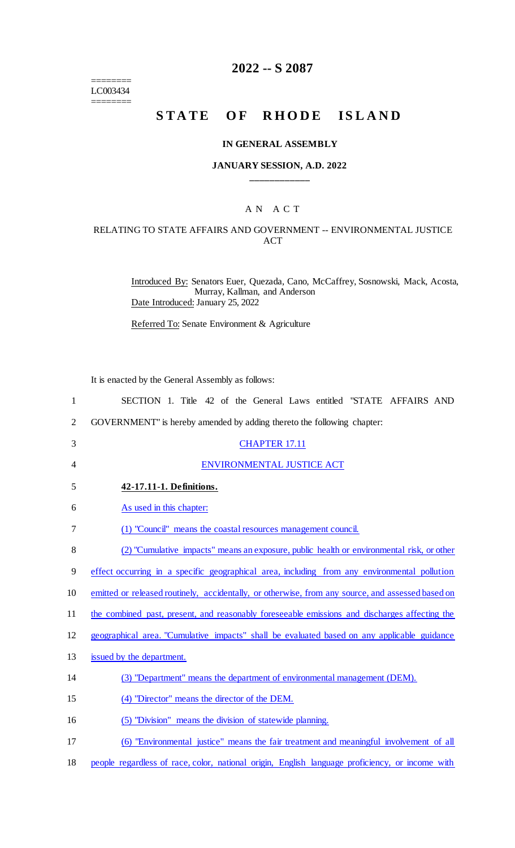======== LC003434 ========

## **2022 -- S 2087**

# **STATE OF RHODE ISLAND**

#### **IN GENERAL ASSEMBLY**

### **JANUARY SESSION, A.D. 2022 \_\_\_\_\_\_\_\_\_\_\_\_**

## A N A C T

## RELATING TO STATE AFFAIRS AND GOVERNMENT -- ENVIRONMENTAL JUSTICE ACT

Introduced By: Senators Euer, Quezada, Cano, McCaffrey, Sosnowski, Mack, Acosta, Murray, Kallman, and Anderson Date Introduced: January 25, 2022

Referred To: Senate Environment & Agriculture

It is enacted by the General Assembly as follows:

| $\mathbf{1}$   | SECTION 1. Title 42 of the General Laws entitled "STATE AFFAIRS AND                               |
|----------------|---------------------------------------------------------------------------------------------------|
| $\overline{2}$ | GOVERNMENT" is hereby amended by adding thereto the following chapter:                            |
| 3              | <b>CHAPTER 17.11</b>                                                                              |
| 4              | ENVIRONMENTAL JUSTICE ACT                                                                         |
| 5              | 42-17.11-1. Definitions.                                                                          |
| 6              | As used in this chapter:                                                                          |
| 7              | (1) "Council" means the coastal resources management council.                                     |
| 8              | (2) "Cumulative_impacts" means an exposure, public health or environmental risk, or other         |
| 9              | effect occurring in a specific geographical area, including from any environmental pollution      |
| 10             | emitted or released routinely, accidentally, or otherwise, from any source, and assessed based on |
| 11             | the combined past, present, and reasonably foreseeable emissions and discharges affecting the     |
| 12             | geographical area. "Cumulative impacts" shall be evaluated based on any applicable guidance       |
| 13             | issued by the department.                                                                         |
| 14             | (3) "Department" means the department of environmental management (DEM).                          |
| 15             | (4) "Director" means the director of the DEM.                                                     |
| 16             | (5) "Division" means the division of statewide planning.                                          |
| 17             | (6) "Environmental justice" means the fair treatment and meaningful involvement of all            |

18 people regardless of race, color, national origin, English language proficiency, or income with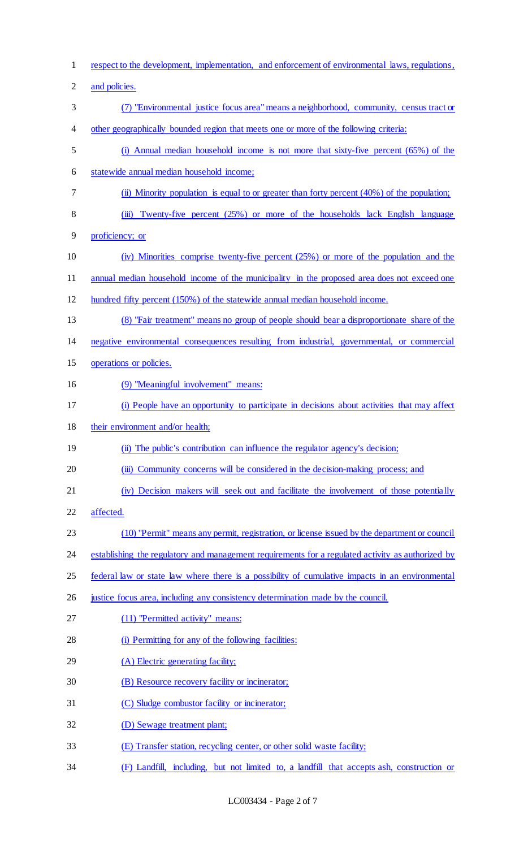respect to the development, implementation, and enforcement of environmental laws, regulations, 2 and policies. (7) "Environmental justice focus area" means a neighborhood, community, census tract or other geographically bounded region that meets one or more of the following criteria: (i) Annual median household income is not more that sixty-five percent (65%) of the statewide annual median household income; (ii) Minority population is equal to or greater than forty percent (40%) of the population; 8 (iii) Twenty-five percent (25%) or more of the households lack English language proficiency; or (iv) Minorities comprise twenty-five percent (25%) or more of the population and the annual median household income of the municipality in the proposed area does not exceed one hundred fifty percent (150%) of the statewide annual median household income. (8) "Fair treatment" means no group of people should bear a disproportionate share of the negative environmental consequences resulting from industrial, governmental, or commercial operations or policies. (9) "Meaningful involvement" means: (i) People have an opportunity to participate in decisions about activities that may affect 18 their environment and/or health; 19 (ii) The public's contribution can influence the regulator agency's decision; (iii) Community concerns will be considered in the decision-making process; and (iv) Decision makers will seek out and facilitate the involvement of those potentially affected. (10) "Permit" means any permit, registration, or license issued by the department or council 24 establishing the regulatory and management requirements for a regulated activity as authorized by federal law or state law where there is a possibility of cumulative impacts in an environmental justice focus area, including any consistency determination made by the council. (11) "Permitted activity" means: (i) Permitting for any of the following facilities: 29 (A) Electric generating facility; (B) Resource recovery facility or incinerator; (C) Sludge combustor facility or incinerator; (D) Sewage treatment plant; (E) Transfer station, recycling center, or other solid waste facility; (F) Landfill, including, but not limited to, a landfill that accepts ash, construction or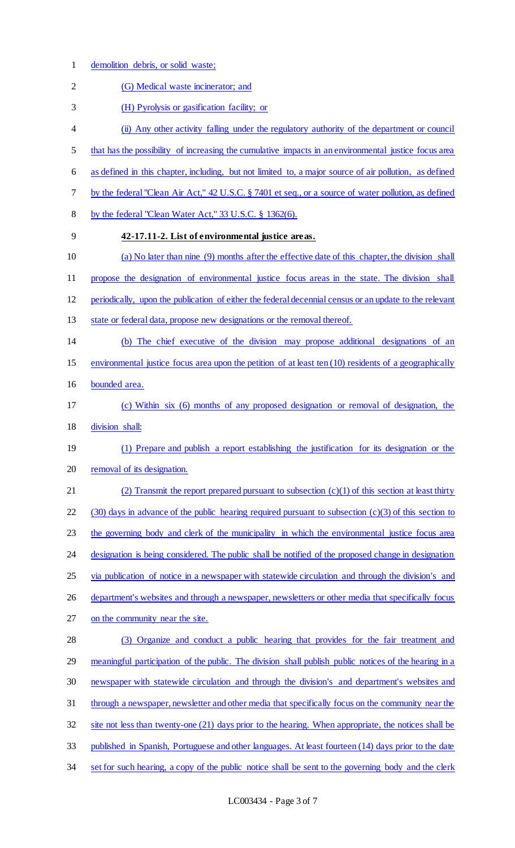1 demolition debris, or solid waste;

| $\overline{2}$ | (G) Medical waste incinerator; and                                                                       |
|----------------|----------------------------------------------------------------------------------------------------------|
| 3              | (H) Pyrolysis or gasification facility; or                                                               |
| 4              | (ii) Any other activity falling under the regulatory authority of the department or council              |
| 5              | that has the possibility of increasing the cumulative impacts in an environmental justice focus area     |
| 6              | as defined in this chapter, including, but not limited to, a major source of air pollution, as defined   |
| 7              | by the federal "Clean Air Act," 42 U.S.C. § 7401 et seq., or a source of water pollution, as defined     |
| $\,8\,$        | by the federal "Clean Water Act," 33 U.S.C. § 1362(6).                                                   |
| 9              | 42-17.11-2. List of environmental justice areas.                                                         |
| 10             | (a) No later than nine (9) months after the effective date of this chapter, the division shall           |
| 11             | propose the designation of environmental justice focus areas in the state. The division shall            |
| 12             | periodically, upon the publication of either the federal decennial census or an update to the relevant   |
| 13             | state or federal data, propose new designations or the removal thereof.                                  |
| 14             | (b) The chief executive of the division may propose additional designations of an                        |
| 15             | environmental justice focus area upon the petition of at least ten (10) residents of a geographically    |
| 16             | bounded area.                                                                                            |
| 17             | (c) Within six (6) months of any proposed designation or removal of designation, the                     |
| 18             | division shall:                                                                                          |
| 19             | (1) Prepare and publish a report establishing the justification for its designation or the               |
| 20             | removal of its designation.                                                                              |
| 21             | (2) Transmit the report prepared pursuant to subsection $(c)(1)$ of this section at least thirty         |
| 22             | $(30)$ days in advance of the public hearing required pursuant to subsection $(c)(3)$ of this section to |
| 23             | the governing body and clerk of the municipality in which the environmental justice focus area           |
| 24             | designation is being considered. The public shall be notified of the proposed change in designation      |
| 25             | via publication of notice in a newspaper with statewide circulation and through the division's and       |
| 26             | department's websites and through a newspaper, newsletters or other media that specifically focus        |
| 27             | on the community near the site.                                                                          |
| 28             | (3) Organize and conduct a public hearing that provides for the fair treatment and                       |
| 29             | meaningful participation of the public. The division shall publish public notices of the hearing in a    |
| 30             | newspaper with statewide circulation and through the division's and department's websites and            |
| 31             | through a newspaper, newsletter and other media that specifically focus on the community near the        |
| 32             | site not less than twenty-one (21) days prior to the hearing. When appropriate, the notices shall be     |
| 33             | published in Spanish, Portuguese and other languages. At least fourteen (14) days prior to the date      |
| 34             | set for such hearing, a copy of the public notice shall be sent to the governing body and the clerk      |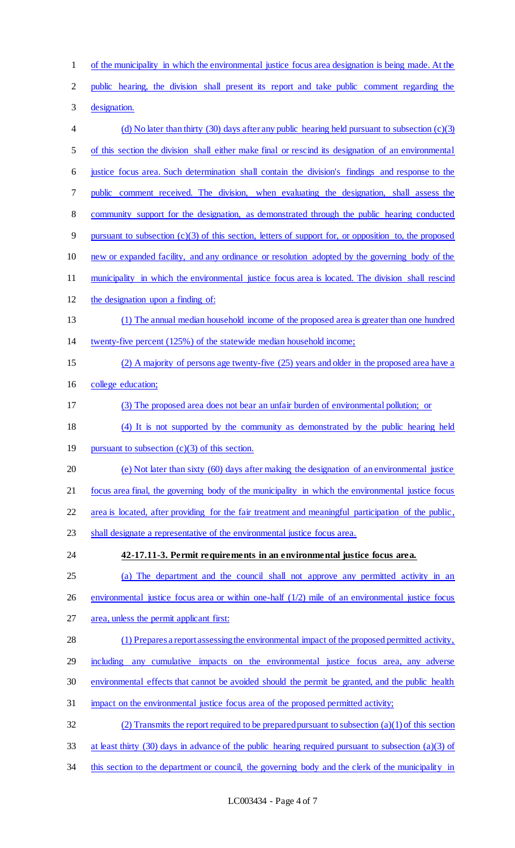of the municipality in which the environmental justice focus area designation is being made. At the public hearing, the division shall present its report and take public comment regarding the designation. (d) No later than thirty (30) days after any public hearing held pursuant to subsection (c)(3) of this section the division shall either make final or rescind its designation of an environmental justice focus area. Such determination shall contain the division's findings and response to the public comment received. The division, when evaluating the designation, shall assess the community support for the designation, as demonstrated through the public hearing conducted pursuant to subsection (c)(3) of this section, letters of support for, or opposition to, the proposed new or expanded facility, and any ordinance or resolution adopted by the governing body of the 11 municipality in which the environmental justice focus area is located. The division shall rescind the designation upon a finding of: (1) The annual median household income of the proposed area is greater than one hundred twenty-five percent (125%) of the statewide median household income; (2) A majority of persons age twenty-five (25) years and older in the proposed area have a college education; (3) The proposed area does not bear an unfair burden of environmental pollution; or (4) It is not supported by the community as demonstrated by the public hearing held 19 pursuant to subsection (c)(3) of this section. (e) Not later than sixty (60) days after making the designation of an environmental justice focus area final, the governing body of the municipality in which the environmental justice focus area is located, after providing for the fair treatment and meaningful participation of the public, 23 shall designate a representative of the environmental justice focus area. **42-17.11-3. Permit requirements in an environmental justice focus area.**  (a) The department and the council shall not approve any permitted activity in an 26 environmental justice focus area or within one-half (1/2) mile of an environmental justice focus area, unless the permit applicant first: (1) Prepares a report assessing the environmental impact of the proposed permitted activity, including any cumulative impacts on the environmental justice focus area, any adverse environmental effects that cannot be avoided should the permit be granted, and the public health impact on the environmental justice focus area of the proposed permitted activity; 32 (2) Transmits the report required to be prepared pursuant to subsection  $(a)(1)$  of this section at least thirty (30) days in advance of the public hearing required pursuant to subsection (a)(3) of 34 this section to the department or council, the governing body and the clerk of the municipality in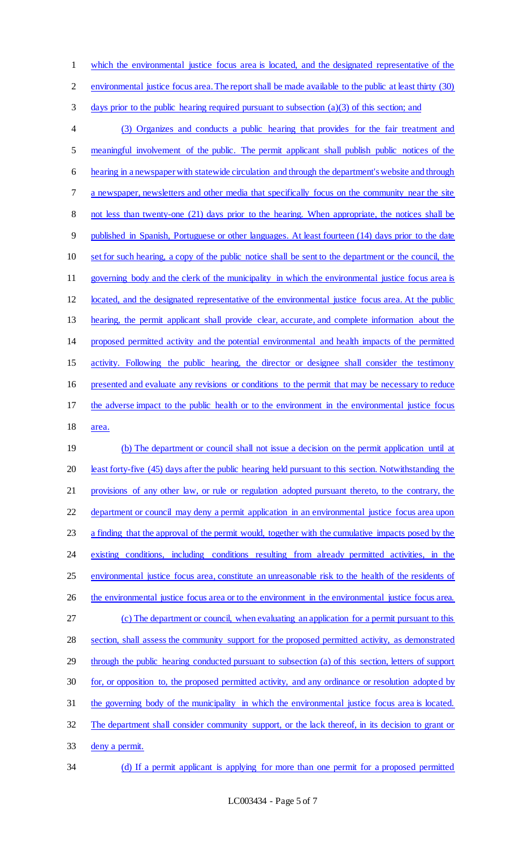which the environmental justice focus area is located, and the designated representative of the

environmental justice focus area. The report shall be made available to the public at least thirty (30)

days prior to the public hearing required pursuant to subsection (a)(3) of this section; and

 (3) Organizes and conducts a public hearing that provides for the fair treatment and meaningful involvement of the public. The permit applicant shall publish public notices of the hearing in a newspaper with statewide circulation and through the department's website and through a newspaper, newsletters and other media that specifically focus on the community near the site not less than twenty-one (21) days prior to the hearing. When appropriate, the notices shall be published in Spanish, Portuguese or other languages. At least fourteen (14) days prior to the date set for such hearing, a copy of the public notice shall be sent to the department or the council, the governing body and the clerk of the municipality in which the environmental justice focus area is located, and the designated representative of the environmental justice focus area. At the public 13 hearing, the permit applicant shall provide clear, accurate, and complete information about the proposed permitted activity and the potential environmental and health impacts of the permitted activity. Following the public hearing, the director or designee shall consider the testimony presented and evaluate any revisions or conditions to the permit that may be necessary to reduce the adverse impact to the public health or to the environment in the environmental justice focus area.

 (b) The department or council shall not issue a decision on the permit application until at least forty-five (45) days after the public hearing held pursuant to this section. Notwithstanding the provisions of any other law, or rule or regulation adopted pursuant thereto, to the contrary, the 22 department or council may deny a permit application in an environmental justice focus area upon 23 a finding that the approval of the permit would, together with the cumulative impacts posed by the existing conditions, including conditions resulting from already permitted activities, in the environmental justice focus area, constitute an unreasonable risk to the health of the residents of 26 the environmental justice focus area or to the environment in the environmental justice focus area. (c) The department or council, when evaluating an application for a permit pursuant to this section, shall assess the community support for the proposed permitted activity, as demonstrated through the public hearing conducted pursuant to subsection (a) of this section, letters of support for, or opposition to, the proposed permitted activity, and any ordinance or resolution adopted by the governing body of the municipality in which the environmental justice focus area is located. The department shall consider community support, or the lack thereof, in its decision to grant or deny a permit.

(d) If a permit applicant is applying for more than one permit for a proposed permitted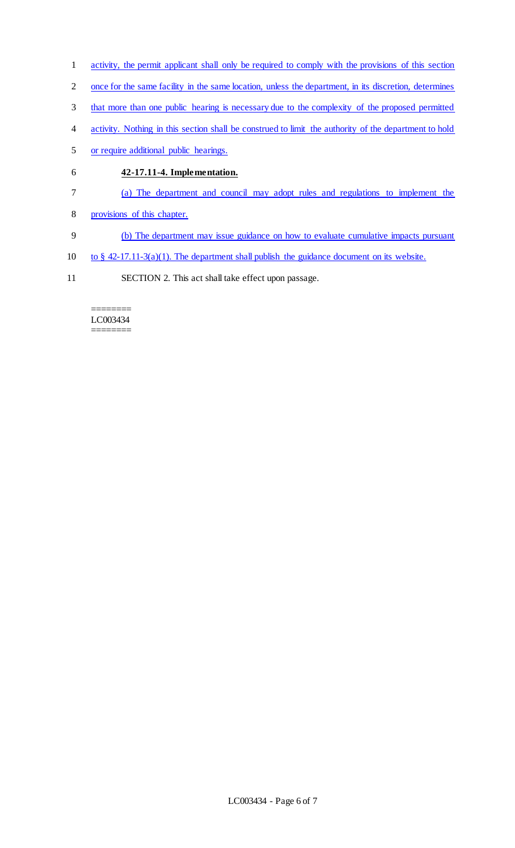- activity, the permit applicant shall only be required to comply with the provisions of this section
- once for the same facility in the same location, unless the department, in its discretion, determines
- that more than one public hearing is necessary due to the complexity of the proposed permitted
- activity. Nothing in this section shall be construed to limit the authority of the department to hold
- or require additional public hearings.
- **42-17.11-4. Implementation.**
- (a) The department and council may adopt rules and regulations to implement the
- provisions of this chapter.
- (b) The department may issue guidance on how to evaluate cumulative impacts pursuant
- 10 to  $§$  42-17.11-3(a)(1). The department shall publish the guidance document on its website.
- SECTION 2. This act shall take effect upon passage.

#### ======== LC003434 ========